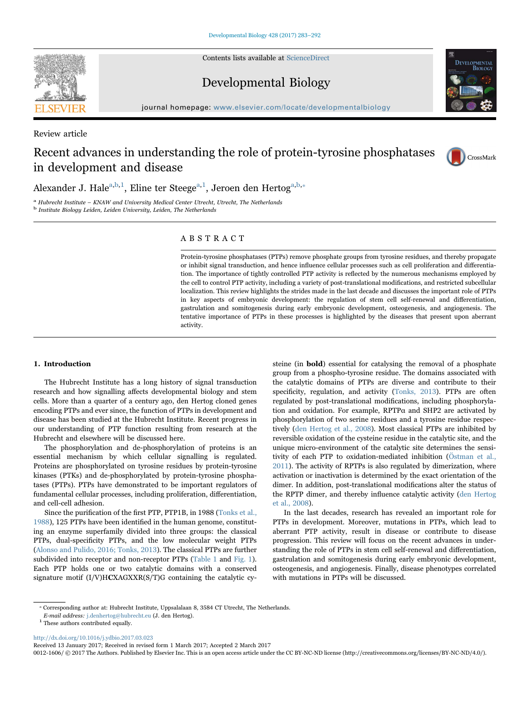Contents lists available at [ScienceDirect](http://www.sciencedirect.com/science/journal/00121606)



Developmental Biology



journal homepage: [www.elsevier.com/locate/developmentalbiology](http://www.elsevier.com/locate/developmentalbiology)

Review article

# Recent advances in understanding the role of protein-tyrosine phosphatases in development and disease



Alexander J. Hale<sup>[a,](#page-0-0)[b,](#page-0-1)1</sup>[, Eline ter Steege](#page-0-2)<sup>[a,1](#page-0-0)</sup>[, Jeroen den Hertog](#page-0-2)<sup>a,b,</sup>\*

<span id="page-0-0"></span>a Hubrecht Institute – KNAW and University Medical Center Utrecht, Utrecht, The Netherlands b Institute Biology Leiden, Leiden University, Leiden, The Netherlands

<span id="page-0-1"></span>

# ABSTRACT

Protein-tyrosine phosphatases (PTPs) remove phosphate groups from tyrosine residues, and thereby propagate or inhibit signal transduction, and hence influence cellular processes such as cell proliferation and differentiation. The importance of tightly controlled PTP activity is reflected by the numerous mechanisms employed by the cell to control PTP activity, including a variety of post-translational modifications, and restricted subcellular localization. This review highlights the strides made in the last decade and discusses the important role of PTPs in key aspects of embryonic development: the regulation of stem cell self-renewal and differentiation, gastrulation and somitogenesis during early embryonic development, osteogenesis, and angiogenesis. The tentative importance of PTPs in these processes is highlighted by the diseases that present upon aberrant activity.

# 1. Introduction

The Hubrecht Institute has a long history of signal transduction research and how signalling affects developmental biology and stem cells. More than a quarter of a century ago, den Hertog cloned genes encoding PTPs and ever since, the function of PTPs in development and disease has been studied at the Hubrecht Institute. Recent progress in our understanding of PTP function resulting from research at the Hubrecht and elsewhere will be discussed here.

The phosphorylation and de-phosphorylation of proteins is an essential mechanism by which cellular signalling is regulated. Proteins are phosphorylated on tyrosine residues by protein-tyrosine kinases (PTKs) and de-phosphorylated by protein-tyrosine phosphatases (PTPs). PTPs have demonstrated to be important regulators of fundamental cellular processes, including proliferation, differentiation, and cell-cell adhesion.

Since the purification of the first PTP, PTP1B, in 1988 ([Tonks et al.,](#page-9-0) [1988\)](#page-9-0), 125 PTPs have been identified in the human genome, constituting an enzyme superfamily divided into three groups: the classical PTPs, dual-specificity PTPs, and the low molecular weight PTPs ([Alonso and Pulido, 2016; Tonks, 2013](#page-7-0)). The classical PTPs are further subdivided into receptor and non-receptor PTPs [\(Table 1](#page-1-0) and [Fig. 1\)](#page-2-0). Each PTP holds one or two catalytic domains with a conserved signature motif (I/V)HCXAGXXR(S/T)G containing the catalytic cysteine (in bold) essential for catalysing the removal of a phosphate group from a phospho-tyrosine residue. The domains associated with the catalytic domains of PTPs are diverse and contribute to their specificity, regulation, and activity ([Tonks, 2013](#page-9-1)). PTPs are often regulated by post-translational modifications, including phosphorylation and oxidation. For example, RPTPα and SHP2 are activated by phosphorylation of two serine residues and a tyrosine residue respectively ([den Hertog et al., 2008](#page-8-0)). Most classical PTPs are inhibited by reversible oxidation of the cysteine residue in the catalytic site, and the unique micro-environment of the catalytic site determines the sensitivity of each PTP to oxidation-mediated inhibition ([Östman et al.,](#page-9-2) [2011\)](#page-9-2). The activity of RPTPs is also regulated by dimerization, where activation or inactivation is determined by the exact orientation of the dimer. In addition, post-translational modifications alter the status of the RPTP dimer, and thereby influence catalytic activity ([den Hertog](#page-8-0) [et al., 2008](#page-8-0)).

In the last decades, research has revealed an important role for PTPs in development. Moreover, mutations in PTPs, which lead to aberrant PTP activity, result in disease or contribute to disease progression. This review will focus on the recent advances in understanding the role of PTPs in stem cell self-renewal and differentiation, gastrulation and somitogenesis during early embryonic development, osteogenesis, and angiogenesis. Finally, disease phenotypes correlated with mutations in PTPs will be discussed.

<http://dx.doi.org/10.1016/j.ydbio.2017.03.023>

0012-1606/ © 2017 The Authors. Published by Elsevier Inc. This is an open access article under the CC BY-NC-ND license (http://creativecommons.org/licenses/BY-NC-ND/4.0/).

<span id="page-0-3"></span><sup>⁎</sup> Corresponding author at: Hubrecht Institute, Uppsalalaan 8, 3584 CT Utrecht, The Netherlands.

<span id="page-0-2"></span>E-mail address: j.denhertog@hubrecht.eu (J. den Hertog).

 $^{\rm 1}$  These authors contributed equally.

Received 13 January 2017; Received in revised form 1 March 2017; Accepted 2 March 2017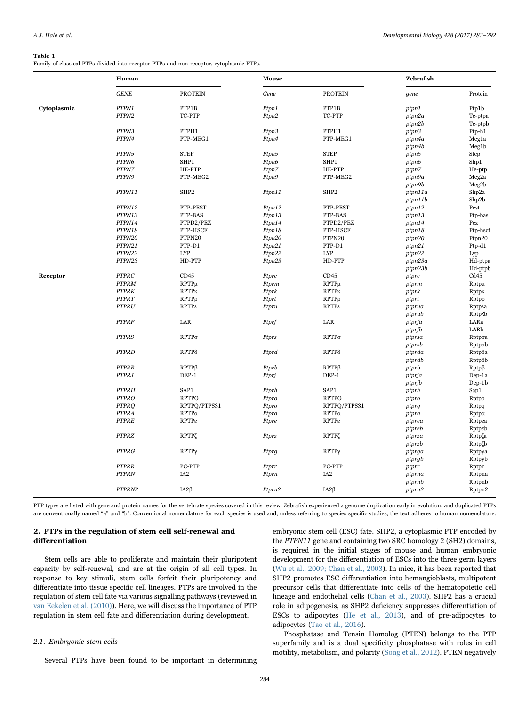#### <span id="page-1-0"></span>Table 1

Family of classical PTPs divided into receptor PTPs and non-receptor, cytoplasmic PTPs.

|             | Human        |                  | <b>Mouse</b> |                  | Zebrafish |                   |
|-------------|--------------|------------------|--------------|------------------|-----------|-------------------|
|             | <b>GENE</b>  | <b>PROTEIN</b>   | Gene         | <b>PROTEIN</b>   | gene      | Protein           |
| Cytoplasmic | PTPN1        | PTP1B            | Ptpn1        | PTP1B            | ptpn1     | Ptp1b             |
|             | PTPN2        | TC-PTP           | Ptpn2        | TC-PTP           | ptpn2a    | Tc-ptpa           |
|             |              |                  |              |                  | ptpn2b    | Tc-ptpb           |
|             | PTPN3        | PTPH1            | Ptpn3        | PTPH1            | ptpn3     | Ptp-h1            |
|             | PTPN4        | PTP-MEG1         | Ptpn4        | PTP-MEG1         | ptpn4a    | Meg1a             |
|             |              |                  |              |                  | ptpn4b    | Meg1b             |
|             | PTPN5        | <b>STEP</b>      | Ptpn5        | <b>STEP</b>      | ptpn5     | Step              |
|             | PTPN6        | SHP1             | Ptpn6        | SHP1             | ptpn6     | Shp1              |
|             | PTPN7        | HE-PTP           | Ptpn7        | HE-PTP           | ptpn7     | He-ptp            |
|             | PTPN9        | PTP-MEG2         | Ptpn9        | PTP-MEG2         | ptpn9a    | Meg <sub>2a</sub> |
|             |              |                  |              |                  | ptpn9b    | Meg2b             |
|             | PTPN11       | SHP <sub>2</sub> | Ptpn11       | SHP <sub>2</sub> | ptpn11a   | Shp2a             |
|             |              |                  |              |                  | ptpn11b   | Shp2b             |
|             | PTPN12       | PTP-PEST         | Ptpn12       | PTP-PEST         | ptpn12    | Pest              |
|             | PTPN13       | PTP-BAS          | Ptpn13       | PTP-BAS          | ptpn13    | Ptp-bas           |
|             | PTPN14       | PTPD2/PEZ        | Ptpn14       | PTPD2/PEZ        | ptpn14    | Pez               |
|             | PTPN18       | PTP-HSCF         | Ptpn18       | PTP-HSCF         | ptpn18    | Ptp-hscf          |
|             | PTPN20       | PTPN20           | Ptpn20       | PTPN20           | ptpn20    | Ptpn20            |
|             | PTPN21       | PTP-D1           | Ptpn21       | PTP-D1           | ptpn21    | Ptp-d1            |
|             | PTPN22       | <b>LYP</b>       | Ptpn22       | <b>LYP</b>       | ptpn22    | Lyp               |
|             | PTPN23       | HD-PTP           | Ptpn23       | HD-PTP           | ptpn23a   | Hd-ptpa           |
|             |              |                  |              |                  | ptpn23b   | Hd-ptpb           |
| Receptor    | <b>PTPRC</b> | CD45             | Ptprc        | CD45             | ptprc     | C <sub>d45</sub>  |
|             | <b>PTPRM</b> | RPTPµ            | Ptprm        | RPTPµ            | ptprm     | Rptpu             |
|             | <b>PTPRK</b> | RPTPK            | Ptprk        | RPTPK            | ptprk     | Rptpk             |
|             | <b>PTPRT</b> | $RPTP\rho$       | Ptprt        | $RPTP\rho$       | ptprt     | Rptpp             |
|             | <b>PTPRU</b> | <b>RPTPA</b>     | Ptpru        | <b>RPTPA</b>     | ptprua    | RptpAa            |
|             |              |                  |              |                  | ptprub    | Rptp.6b           |
|             | <b>PTPRF</b> | LAR              | Ptprf        | LAR              | ptprfa    | LARa              |
|             |              |                  |              |                  | ptprfb    | LARb              |
|             | <b>PTPRS</b> | $RPTP\sigma$     | Ptprs        | $RPTP\sigma$     | ptprsa    | Rptpoa            |
|             |              |                  |              |                  | ptprsb    | Rptpob            |
|             | <b>PTPRD</b> | RPTP8            | Ptprd        | RPTPδ            | ptprda    | Rptpδa            |
|             |              |                  |              |                  | ptprdb    | Rptpδb            |
|             | <b>PTPRB</b> | RPTPß            | Ptprb        | $RPTP\beta$      | ptprb     | $Rptp\beta$       |
|             | <b>PTPRJ</b> | DEP-1            | Ptprj        | DEP-1            | ptprja    | Dep-1a            |
|             |              |                  |              |                  | ptprjb    | Dep-1b            |
|             | <b>PTPRH</b> | SAP1             | Ptprh        | SAP1             | ptprh     | Sap1              |
|             | <b>PTPRO</b> | <b>RPTPO</b>     | Ptpro        | <b>RPTPO</b>     | ptpro     | Rptpo             |
|             | <b>PTPRQ</b> | RPTPQ/PTPS31     | Ptpro        | RPTPQ/PTPS31     | ptprq     | Rptpq             |
|             | <b>PTPRA</b> | $RPTP\alpha$     | Ptpra        | $RPTP\alpha$     | ptpra     | Rptpa             |
|             | <b>PTPRE</b> | RPTPE            | Ptpre        | RPTPE            | ptprea    | Rptpea            |
|             |              |                  |              |                  | ptpreb    | Rptpeb            |
|             | <b>PTPRZ</b> | RPTPζ            | Ptprz        | <b>RPTPζ</b>     | ptprza    | Rptpζa            |
|             |              |                  |              |                  | ptprzb    | RptpZb            |
|             | <b>PTPRG</b> | RPTPy            | Ptprg        | RPTPy            | ptprga    | Rptpya            |
|             |              |                  |              |                  | ptprgb    | Rptpyb            |
|             | <b>PTPRR</b> | PC-PTP           | Ptprr        | PC-PTP           | ptprr     | Rptpr             |
|             | <b>PTPRN</b> | IA <sub>2</sub>  | Ptprn        | IA <sub>2</sub>  | ptprna    | Rptpna            |
|             |              |                  |              |                  | ptprnb    | Rptpnb            |
|             | PTPRN2       | $IA2\beta$       | Ptprn2       | $IA2\beta$       | ptprn2    | Rptpn2            |
|             |              |                  |              |                  |           |                   |

PTP types are listed with gene and protein names for the vertebrate species covered in this review. Zebrafish experienced a genome duplication early in evolution, and duplicated PTPs are conventionally named "a" and "b". Conventional nomenclature for each species is used and, unless referring to species specific studies, the text adheres to human nomenclature.

# 2. PTPs in the regulation of stem cell self-renewal and differentiation

Stem cells are able to proliferate and maintain their pluripotent capacity by self-renewal, and are at the origin of all cell types. In response to key stimuli, stem cells forfeit their pluripotency and differentiate into tissue specific cell lineages. PTPs are involved in the regulation of stem cell fate via various signalling pathways (reviewed in [van Eekelen et al. \(2010\)\)](#page-9-3). Here, we will discuss the importance of PTP regulation in stem cell fate and differentiation during development.

### 2.1. Embryonic stem cells

Several PTPs have been found to be important in determining

embryonic stem cell (ESC) fate. SHP2, a cytoplasmic PTP encoded by the PTPN11 gene and containing two SRC homology 2 (SH2) domains, is required in the initial stages of mouse and human embryonic development for the differentiation of ESCs into the three germ layers ([Wu et al., 2009; Chan et al., 2003](#page-9-4)). In mice, it has been reported that SHP2 promotes ESC differentiation into hemangioblasts, multipotent precursor cells that differentiate into cells of the hematopoietic cell lineage and endothelial cells ([Chan et al., 2003](#page-8-1)). SHP2 has a crucial role in adipogenesis, as SHP2 deficiency suppresses differentiation of ESCs to adipocytes ([He et al., 2013](#page-8-2)), and of pre-adipocytes to adipocytes ([Tao et al., 2016\)](#page-9-5).

Phosphatase and Tensin Homolog (PTEN) belongs to the PTP superfamily and is a dual specificity phosphatase with roles in cell motility, metabolism, and polarity [\(Song et al., 2012](#page-9-6)). PTEN negatively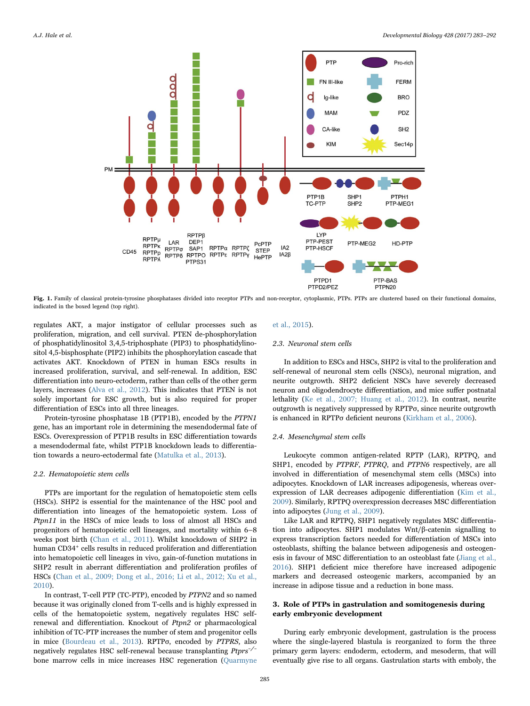<span id="page-2-0"></span>

Fig. 1. Family of classical protein-tyrosine phosphatases divided into receptor PTPs and non-receptor, cytoplasmic, PTPs. PTPs are clustered based on their functional domains, indicated in the boxed legend (top right).

regulates AKT, a major instigator of cellular processes such as proliferation, migration, and cell survival. PTEN de-phosphorylation of phosphatidylinositol 3,4,5-triphosphate (PIP3) to phosphatidylinositol 4,5-bisphosphate (PIP2) inhibits the phosphorylation cascade that activates AKT. Knockdown of PTEN in human ESCs results in increased proliferation, survival, and self-renewal. In addition, ESC differentiation into neuro-ectoderm, rather than cells of the other germ layers, increases ([Alva et al., 2012\)](#page-7-1). This indicates that PTEN is not solely important for ESC growth, but is also required for proper differentiation of ESCs into all three lineages.

Protein-tyrosine phosphatase 1B (PTP1B), encoded by the PTPN1 gene, has an important role in determining the mesendodermal fate of ESCs. Overexpression of PTP1B results in ESC differentiation towards a mesendodermal fate, whilst PTP1B knockdown leads to differentiation towards a neuro-ectodermal fate ([Matulka et al., 2013](#page-8-3)).

# 2.2. Hematopoietic stem cells

PTPs are important for the regulation of hematopoietic stem cells (HSCs). SHP2 is essential for the maintenance of the HSC pool and differentiation into lineages of the hematopoietic system. Loss of Ptpn11 in the HSCs of mice leads to loss of almost all HSCs and progenitors of hematopoietic cell lineages, and mortality within 6–8 weeks post birth ([Chan et al., 2011](#page-8-4)). Whilst knockdown of SHP2 in human CD34<sup>+</sup> cells results in reduced proliferation and differentiation into hematopoietic cell lineages in vivo, gain-of-function mutations in SHP2 result in aberrant differentiation and proliferation profiles of HSCs [\(Chan et al., 2009; Dong et al., 2016; Li et al., 2012; Xu et al.,](#page-8-5) [2010\)](#page-8-5).

In contrast, T-cell PTP (TC-PTP), encoded by PTPN2 and so named because it was originally cloned from T-cells and is highly expressed in cells of the hematopoietic system, negatively regulates HSC selfrenewal and differentiation. Knockout of Ptpn2 or pharmacological inhibition of TC-PTP increases the number of stem and progenitor cells in mice [\(Bourdeau et al., 2013\)](#page-8-6). RPTPσ, encoded by PTPRS, also negatively regulates HSC self-renewal because transplanting Ptprs<sup>-/-</sup> bone marrow cells in mice increases HSC regeneration [\(Quarmyne](#page-9-7)

### [et al., 2015](#page-9-7)).

### 2.3. Neuronal stem cells

In addition to ESCs and HSCs, SHP2 is vital to the proliferation and self-renewal of neuronal stem cells (NSCs), neuronal migration, and neurite outgrowth. SHP2 deficient NSCs have severely decreased neuron and oligodendrocyte differentiation, and mice suffer postnatal lethality [\(Ke et al., 2007; Huang et al., 2012](#page-8-7)). In contrast, neurite outgrowth is negatively suppressed by RPTPσ, since neurite outgrowth is enhanced in RPTPσ deficient neurons [\(Kirkham et al., 2006\)](#page-8-8).

#### 2.4. Mesenchymal stem cells

Leukocyte common antigen-related RPTP (LAR), RPTPQ, and SHP1, encoded by PTPRF, PTPRQ, and PTPN6 respectively, are all involved in differentiation of mesenchymal stem cells (MSCs) into adipocytes. Knockdown of LAR increases adipogenesis, whereas overexpression of LAR decreases adipogenic differentiation [\(Kim et al.,](#page-8-9) [2009\)](#page-8-9). Similarly, RPTPQ overexpression decreases MSC differentiation into adipocytes [\(Jung et al., 2009\)](#page-8-10).

Like LAR and RPTPQ, SHP1 negatively regulates MSC differentiation into adipocytes. SHP1 modulates Wnt/β-catenin signalling to express transcription factors needed for differentiation of MSCs into osteoblasts, shifting the balance between adipogenesis and osteogenesis in favour of MSC differentiation to an osteoblast fate [\(Jiang et al.,](#page-8-11) [2016\)](#page-8-11). SHP1 deficient mice therefore have increased adipogenic markers and decreased osteogenic markers, accompanied by an increase in adipose tissue and a reduction in bone mass.

# 3. Role of PTPs in gastrulation and somitogenesis during early embryonic development

During early embryonic development, gastrulation is the process where the single-layered blastula is reorganized to form the three primary germ layers: endoderm, ectoderm, and mesoderm, that will eventually give rise to all organs. Gastrulation starts with emboly, the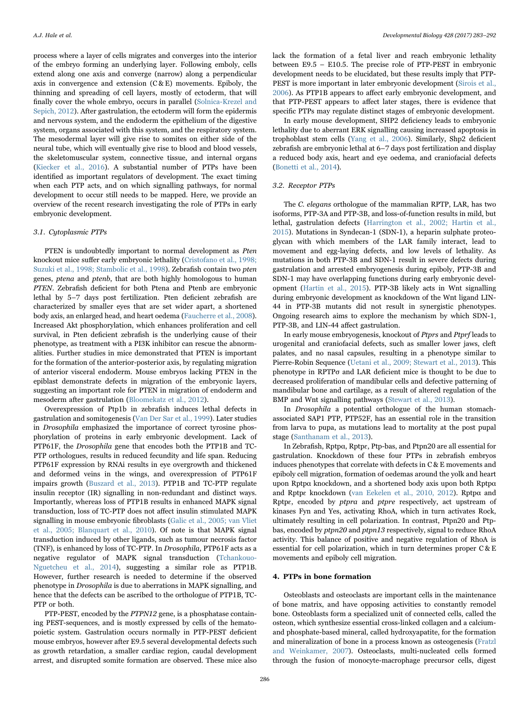process where a layer of cells migrates and converges into the interior of the embryo forming an underlying layer. Following emboly, cells extend along one axis and converge (narrow) along a perpendicular axis in convergence and extension  $(C & E)$  movements. Epiboly, the thinning and spreading of cell layers, mostly of ectoderm, that will finally cover the whole embryo, occurs in parallel [\(Solnica-Krezel and](#page-9-8) [Sepich, 2012](#page-9-8)). After gastrulation, the ectoderm will form the epidermis and nervous system, and the endoderm the epithelium of the digestive system, organs associated with this system, and the respiratory system. The mesodermal layer will give rise to somites on either side of the neural tube, which will eventually give rise to blood and blood vessels, the skeletomuscular system, connective tissue, and internal organs ([Kiecker et al., 2016\)](#page-8-12). A substantial number of PTPs have been identified as important regulators of development. The exact timing when each PTP acts, and on which signalling pathways, for normal development to occur still needs to be mapped. Here, we provide an overview of the recent research investigating the role of PTPs in early embryonic development.

#### 3.1. Cytoplasmic PTPs

PTEN is undoubtedly important to normal development as Pten knockout mice suffer early embryonic lethality [\(Cristofano et al., 1998;](#page-8-13) [Suzuki et al., 1998; Stambolic et al., 1998\)](#page-8-13). Zebrafish contain two pten genes, ptena and ptenb, that are both highly homologous to human PTEN. Zebrafish deficient for both Ptena and Ptenb are embryonic lethal by 5–7 days post fertilization. Pten deficient zebrafish are characterized by smaller eyes that are set wider apart, a shortened body axis, an enlarged head, and heart oedema ([Faucherre et al., 2008\)](#page-8-14). Increased Akt phosphorylation, which enhances proliferation and cell survival, in Pten deficient zebrafish is the underlying cause of their phenotype, as treatment with a PI3K inhibitor can rescue the abnormalities. Further studies in mice demonstrated that PTEN is important for the formation of the anterior-posterior axis, by regulating migration of anterior visceral endoderm. Mouse embryos lacking PTEN in the epiblast demonstrate defects in migration of the embryonic layers, suggesting an important role for PTEN in migration of endoderm and mesoderm after gastrulation ([Bloomekatz et al., 2012](#page-7-2)).

Overexpression of Ptp1b in zebrafish induces lethal defects in gastrulation and somitogenesis [\(Van Der Sar et al., 1999\)](#page-9-9). Later studies in Drosophila emphasized the importance of correct tyrosine phosphorylation of proteins in early embryonic development. Lack of PTP61F, the Drosophila gene that encodes both the PTP1B and TC-PTP orthologues, results in reduced fecundity and life span. Reducing PTP61F expression by RNAi results in eye overgrowth and thickened and deformed veins in the wings, and overexpression of PTP61F impairs growth ([Buszard et al., 2013\)](#page-8-15). PTP1B and TC-PTP regulate insulin receptor (IR) signalling in non-redundant and distinct ways. Importantly, whereas loss of PTP1B results in enhanced MAPK signal transduction, loss of TC-PTP does not affect insulin stimulated MAPK signalling in mouse embryonic fibroblasts ([Galic et al., 2005; van Vliet](#page-8-16) et [al., 2005; Blanquart et al., 2010\)](#page-8-16). Of note is that MAPK signal transduction induced by other ligands, such as tumour necrosis factor (TNF), is enhanced by loss of TC-PTP. In Drosophila, PTP61F acts as a negative regulator of MAPK signal transduction [\(Tchankouo-](#page-9-10)[Nguetcheu et al., 2014\)](#page-9-10), suggesting a similar role as PTP1B. However, further research is needed to determine if the observed phenotype in Drosophila is due to aberrations in MAPK signalling, and hence that the defects can be ascribed to the orthologue of PTP1B, TC-PTP or both.

PTP-PEST, encoded by the PTPN12 gene, is a phosphatase containing PEST-sequences, and is mostly expressed by cells of the hematopoietic system. Gastrulation occurs normally in PTP-PEST deficient mouse embryos, however after E9.5 several developmental defects such as growth retardation, a smaller cardiac region, caudal development arrest, and disrupted somite formation are observed. These mice also

lack the formation of a fetal liver and reach embryonic lethality between E9.5 – E10.5. The precise role of PTP-PEST in embryonic development needs to be elucidated, but these results imply that PTP-PEST is more important in later embryonic development [\(Sirois et al.,](#page-9-11) [2006\)](#page-9-11). As PTP1B appears to affect early embryonic development, and that PTP-PEST appears to affect later stages, there is evidence that specific PTPs may regulate distinct stages of embryonic development.

In early mouse development, SHP2 deficiency leads to embryonic lethality due to aberrant ERK signalling causing increased apoptosis in trophoblast stem cells [\(Yang et al., 2006\)](#page-9-12). Similarly, Shp2 deficient zebrafish are embryonic lethal at 6–7 days post fertilization and display a reduced body axis, heart and eye oedema, and craniofacial defects ([Bonetti et al., 2014\)](#page-8-17).

# 3.2. Receptor PTPs

The C. elegans orthologue of the mammalian RPTP, LAR, has two isoforms, PTP-3A and PTP-3B, and loss-of-function results in mild, but lethal, gastrulation defects [\(Harrington et al., 2002; Hartin et al.,](#page-8-18) [2015\)](#page-8-18). Mutations in Syndecan-1 (SDN-1), a heparin sulphate proteoglycan with which members of the LAR family interact, lead to movement and egg-laying defects, and low levels of lethality. As mutations in both PTP-3B and SDN-1 result in severe defects during gastrulation and arrested embryogenesis during epiboly, PTP-3B and SDN-1 may have overlapping functions during early embryonic development ([Hartin et al., 2015\)](#page-8-19). PTP-3B likely acts in Wnt signalling during embryonic development as knockdown of the Wnt ligand LIN-44 in PTP-3B mutants did not result in synergistic phenotypes. Ongoing research aims to explore the mechanism by which SDN-1, PTP-3B, and LIN-44 affect gastrulation.

In early mouse embryogenesis, knockout of Ptprs and Ptprf leads to urogenital and craniofacial defects, such as smaller lower jaws, cleft palates, and no nasal capsules, resulting in a phenotype similar to Pierre-Robin Sequence ([Uetani et al., 2009; Stewart et al., 2013\)](#page-9-13). This phenotype in RPTPσ and LAR deficient mice is thought to be due to decreased proliferation of mandibular cells and defective patterning of mandibular bone and cartilage, as a result of altered regulation of the BMP and Wnt signalling pathways [\(Stewart et al., 2013](#page-9-14)).

In Drosophila a potential orthologue of the human stomachassociated SAP1 PTP, PTP52F, has an essential role in the transition from larva to pupa, as mutations lead to mortality at the post pupal stage [\(Santhanam et al., 2013\)](#page-9-15).

In Zebrafish, Rptpα, Rptpɛ, Ptp-bas, and Ptpn20 are all essential for gastrulation. Knockdown of these four PTPs in zebrafish embryos induces phenotypes that correlate with defects in C & E movements and epiboly cell migration, formation of oedemas around the yolk and heart upon Rptpα knockdown, and a shortened body axis upon both Rptpα and Rptpɛ knockdown [\(van Eekelen et al., 2010, 2012\)](#page-9-3). Rptpα and Rptpe, encoded by ptpra and ptpre respectively, act upstream of kinases Fyn and Yes, activating RhoA, which in turn activates Rock, ultimately resulting in cell polarization. In contrast, Ptpn20 and Ptpbas, encoded by ptpn20 and ptpn13 respectively, signal to reduce RhoA activity. This balance of positive and negative regulation of RhoA is essential for cell polarization, which in turn determines proper C & E movements and epiboly cell migration.

# 4. PTPs in bone formation

Osteoblasts and osteoclasts are important cells in the maintenance of bone matrix, and have opposing activities to constantly remodel bone. Osteoblasts form a specialized unit of connected cells, called the osteon, which synthesize essential cross-linked collagen and a calciumand phosphate-based mineral, called hydroxyapatite, for the formation and mineralization of bone in a process known as osteogenesis [\(Fratzl](#page-8-20) [and Weinkamer, 2007\)](#page-8-20). Osteoclasts, multi-nucleated cells formed through the fusion of monocyte-macrophage precursor cells, digest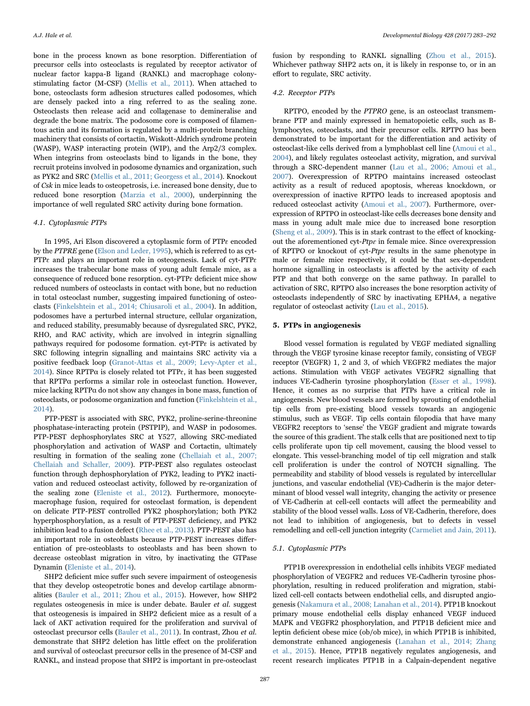bone in the process known as bone resorption. Differentiation of precursor cells into osteoclasts is regulated by receptor activator of nuclear factor kappa-B ligand (RANKL) and macrophage colonystimulating factor (M-CSF) [\(Mellis et al., 2011](#page-9-16)). When attached to bone, osteoclasts form adhesion structures called podosomes, which are densely packed into a ring referred to as the sealing zone. Osteoclasts then release acid and collagenase to demineralise and degrade the bone matrix. The podosome core is composed of filamentous actin and its formation is regulated by a multi-protein branching machinery that consists of cortactin, Wiskott-Aldrich syndrome protein (WASP), WASP interacting protein (WIP), and the Arp2/3 complex. When integrins from osteoclasts bind to ligands in the bone, they recruit proteins involved in podosome dynamics and organization, such as PYK2 and SRC [\(Mellis et al., 2011; Georgess et al., 2014](#page-9-16)). Knockout of Csk in mice leads to osteopetrosis, i.e. increased bone density, due to reduced bone resorption [\(Marzia et al., 2000\)](#page-8-21), underpinning the importance of well regulated SRC activity during bone formation.

#### 4.1. Cytoplasmic PTPs

In 1995, Ari Elson discovered a cytoplasmic form of PTPɛ encoded by the PTPRE gene ([Elson and Leder, 1995](#page-8-22)), which is referred to as cyt-PTP $\varepsilon$  and plays an important role in osteogenesis. Lack of cyt-PTP $\varepsilon$ increases the trabecular bone mass of young adult female mice, as a consequence of reduced bone resorption. cyt-PTPɛ deficient mice show reduced numbers of osteoclasts in contact with bone, but no reduction in total osteoclast number, suggesting impaired functioning of osteoclasts [\(Finkelshtein et al., 2014; Chiusaroli et al., 2004\)](#page-8-23). In addition, podosomes have a perturbed internal structure, cellular organization, and reduced stability, presumably because of dysregulated SRC, PYK2, RHO, and RAC activity, which are involved in integrin signalling pathways required for podosome formation. cyt-PTPɛ is activated by SRC following integrin signalling and maintains SRC activity via a positive feedback loop [\(Granot-Attas et al., 2009; Levy-Apter et al.,](#page-8-24) [2014\)](#page-8-24). Since RPTPα is closely related tot PTPɛ, it has been suggested that RPTPα performs a similar role in osteoclast function. However, mice lacking RPTPα do not show any changes in bone mass, function of osteoclasts, or podosome organization and function ([Finkelshtein et al.,](#page-8-23) [2014\)](#page-8-23).

PTP-PEST is associated with SRC, PYK2, proline-serine-threonine phosphatase-interacting protein (PSTPIP), and WASP in podosomes. PTP-PEST dephosphorylates SRC at Y527, allowing SRC-mediated phosphorylation and activation of WASP and Cortactin, ultimately resulting in formation of the sealing zone ([Chellaiah et al., 2007;](#page-8-25) [Chellaiah and Schaller, 2009\)](#page-8-25). PTP-PEST also regulates osteoclast function through dephosphorylation of PYK2, leading to PYK2 inactivation and reduced osteoclast activity, followed by re-organization of the sealing zone ([Eleniste et al., 2012\)](#page-8-26). Furthermore, monocytemacrophage fusion, required for osteoclast formation, is dependent on delicate PTP-PEST controlled PYK2 phosphorylation; both PYK2 hyperphosphorylation, as a result of PTP-PEST deficiency, and PYK2 inhibition lead to a fusion defect ([Rhee et al., 2013\)](#page-9-17). PTP-PEST also has an important role in osteoblasts because PTP-PEST increases differentiation of pre-osteoblasts to osteoblasts and has been shown to decrease osteoblast migration in vitro, by inactivating the GTPase Dynamin ([Eleniste et al., 2014](#page-8-27)).

SHP2 deficient mice suffer such severe impairment of osteogenesis that they develop osteopetrotic bones and develop cartilage abnormalities [\(Bauler et al., 2011; Zhou et al., 2015](#page-7-3)). However, how SHP2 regulates osteogenesis in mice is under debate. Bauler et al. suggest that osteogenesis is impaired in SHP2 deficient mice as a result of a lack of AKT activation required for the proliferation and survival of osteoclast precursor cells [\(Bauler et al., 2011](#page-7-3)). In contrast, Zhou et al. demonstrate that SHP2 deletion has little effect on the proliferation and survival of osteoclast precursor cells in the presence of M-CSF and RANKL, and instead propose that SHP2 is important in pre-osteoclast

fusion by responding to RANKL signalling [\(Zhou et al., 2015\)](#page-9-18). Whichever pathway SHP2 acts on, it is likely in response to, or in an effort to regulate, SRC activity.

#### 4.2. Receptor PTPs

RPTPO, encoded by the PTPRO gene, is an osteoclast transmembrane PTP and mainly expressed in hematopoietic cells, such as Blymphocytes, osteoclasts, and their precursor cells. RPTPO has been demonstrated to be important for the differentiation and activity of osteoclast-like cells derived from a lymphoblast cell line ([Amoui et al.,](#page-7-4) [2004\)](#page-7-4), and likely regulates osteoclast activity, migration, and survival through a SRC-dependent manner [\(Lau et al., 2006; Amoui et al.,](#page-8-28) [2007\)](#page-8-28). Overexpression of RPTPO maintains increased osteoclast activity as a result of reduced apoptosis, whereas knockdown, or overexpression of inactive RPTPO leads to increased apoptosis and reduced osteoclast activity [\(Amoui et al., 2007](#page-7-5)). Furthermore, overexpression of RPTPO in osteoclast-like cells decreases bone density and mass in young adult male mice due to increased bone resorption ([Sheng et al., 2009\)](#page-9-19). This is in stark contrast to the effect of knockingout the aforementioned cyt- $Ptp\varepsilon$  in female mice. Since overexpression of RPTPO or knockout of cyt- $Ptp\varepsilon$  results in the same phenotype in male or female mice respectively, it could be that sex-dependent hormone signalling in osteoclasts is affected by the activity of each PTP and that both converge on the same pathway. In parallel to activation of SRC, RPTPO also increases the bone resorption activity of osteoclasts independently of SRC by inactivating EPHA4, a negative regulator of osteoclast activity ([Lau et al., 2015](#page-8-29)).

# 5. PTPs in angiogenesis

Blood vessel formation is regulated by VEGF mediated signalling through the VEGF tyrosine kinase receptor family, consisting of VEGF receptor (VEGFR) 1, 2 and 3, of which VEGFR2 mediates the major actions. Stimulation with VEGF activates VEGFR2 signalling that induces VE-Cadherin tyrosine phosphorylation ([Esser et al., 1998\)](#page-8-30). Hence, it comes as no surprise that PTPs have a critical role in angiogenesis. New blood vessels are formed by sprouting of endothelial tip cells from pre-existing blood vessels towards an angiogenic stimulus, such as VEGF. Tip cells contain filopodia that have many VEGFR2 receptors to 'sense' the VEGF gradient and migrate towards the source of this gradient. The stalk cells that are positioned next to tip cells proliferate upon tip cell movement, causing the blood vessel to elongate. This vessel-branching model of tip cell migration and stalk cell proliferation is under the control of NOTCH signalling. The permeability and stability of blood vessels is regulated by intercellular junctions, and vascular endothelial (VE)-Cadherin is the major determinant of blood vessel wall integrity, changing the activity or presence of VE-Cadherin at cell-cell contacts will affect the permeability and stability of the blood vessel walls. Loss of VE-Cadherin, therefore, does not lead to inhibition of angiogenesis, but to defects in vessel remodelling and cell-cell junction integrity ([Carmeliet and Jain, 2011\)](#page-8-31).

# 5.1. Cytoplasmic PTPs

PTP1B overexpression in endothelial cells inhibits VEGF mediated phosphorylation of VEGFR2 and reduces VE-Cadherin tyrosine phosphorylation, resulting in reduced proliferation and migration, stabilized cell-cell contacts between endothelial cells, and disrupted angiogenesis [\(Nakamura et al., 2008; Lanahan et al., 2014\)](#page-9-20). PTP1B knockout primary mouse endothelial cells display enhanced VEGF induced MAPK and VEGFR2 phosphorylation, and PTP1B deficient mice and leptin deficient obese mice (ob/ob mice), in which PTP1B is inhibited, demonstrate enhanced angiogenesis ([Lanahan et al., 2014; Zhang](#page-8-32) [et al., 2015](#page-8-32)). Hence, PTP1B negatively regulates angiogenesis, and recent research implicates PTP1B in a Calpain-dependent negative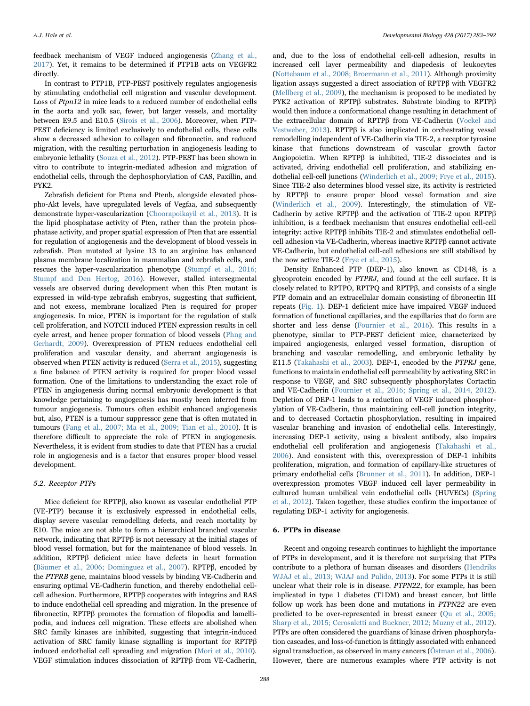feedback mechanism of VEGF induced angiogenesis [\(Zhang et al.,](#page-9-21) [2017\)](#page-9-21). Yet, it remains to be determined if PTP1B acts on VEGFR2 directly.

In contrast to PTP1B, PTP-PEST positively regulates angiogenesis by stimulating endothelial cell migration and vascular development. Loss of Ptpn12 in mice leads to a reduced number of endothelial cells in the aorta and yolk sac, fewer, but larger vessels, and mortality between E9.5 and E10.5 [\(Sirois et al., 2006](#page-9-11)). Moreover, when PTP-PEST deficiency is limited exclusively to endothelial cells, these cells show a decreased adhesion to collagen and fibronectin, and reduced migration, with the resulting perturbation in angiogenesis leading to embryonic lethality ([Souza et al., 2012](#page-9-22)). PTP-PEST has been shown in vitro to contribute to integrin-mediated adhesion and migration of endothelial cells, through the dephosphorylation of CAS, Paxillin, and PYK2.

Zebrafish deficient for Ptena and Ptenb, alongside elevated phospho-Akt levels, have upregulated levels of Vegfaa, and subsequently demonstrate hyper-vascularization ([Choorapoikayil et al., 2013\)](#page-8-33). It is the lipid phosphatase activity of Pten, rather than the protein phosphatase activity, and proper spatial expression of Pten that are essential for regulation of angiogenesis and the development of blood vessels in zebrafish. Pten mutated at lysine 13 to an arginine has enhanced plasma membrane localization in mammalian and zebrafish cells, and rescues the hyper-vascularization phenotype ([Stumpf et al., 2016;](#page-9-23) [Stumpf and Den Hertog, 2016\)](#page-9-23). However, stalled intersegmental vessels are observed during development when this Pten mutant is expressed in wild-type zebrafish embryos, suggesting that sufficient, and not excess, membrane localized Pten is required for proper angiogenesis. In mice, PTEN is important for the regulation of stalk cell proliferation, and NOTCH induced PTEN expression results in cell cycle arrest, and hence proper formation of blood vessels ([Phng and](#page-9-24) [Gerhardt, 2009](#page-9-24)). Overexpression of PTEN reduces endothelial cell proliferation and vascular density, and aberrant angiogenesis is observed when PTEN activity is reduced [\(Serra et al., 2015](#page-9-25)), suggesting a fine balance of PTEN activity is required for proper blood vessel formation. One of the limitations to understanding the exact role of PTEN in angiogenesis during normal embryonic development is that knowledge pertaining to angiogenesis has mostly been inferred from tumour angiogenesis. Tumours often exhibit enhanced angiogenesis but, also, PTEN is a tumour suppressor gene that is often mutated in tumours ([Fang et al., 2007; Ma et al., 2009; Tian et al., 2010](#page-8-34)). It is therefore difficult to appreciate the role of PTEN in angiogenesis. Nevertheless, it is evident from studies to date that PTEN has a crucial role in angiogenesis and is a factor that ensures proper blood vessel development.

#### 5.2. Receptor PTPs

Mice deficient for RPTPβ, also known as vascular endothelial PTP (VE-PTP) because it is exclusively expressed in endothelial cells, display severe vascular remodelling defects, and reach mortality by E10. The mice are not able to form a hierarchical branched vascular network, indicating that RPTPβ is not necessary at the initial stages of blood vessel formation, but for the maintenance of blood vessels. In addition, RPTPβ deficient mice have defects in heart formation ([Bäumer et al., 2006; Dominguez et al., 2007\)](#page-7-6). RPTPβ, encoded by the PTPRB gene, maintains blood vessels by binding VE-Cadherin and ensuring optimal VE-Cadherin function, and thereby endothelial cellcell adhesion. Furthermore, RPTPβ cooperates with integrins and RAS to induce endothelial cell spreading and migration. In the presence of fibronectin, RPTPβ promotes the formation of filopodia and lamellipodia, and induces cell migration. These effects are abolished when SRC family kinases are inhibited, suggesting that integrin-induced activation of SRC family kinase signalling is important for RPTPβ induced endothelial cell spreading and migration ([Mori et al., 2010\)](#page-9-26). VEGF stimulation induces dissociation of RPTPβ from VE-Cadherin,

and, due to the loss of endothelial cell-cell adhesion, results in increased cell layer permeability and diapedesis of leukocytes ([Nottebaum et al., 2008; Broermann et al., 2011](#page-9-27)). Although proximity ligation assays suggested a direct association of RPTPβ with VEGFR2 ([Mellberg et al., 2009](#page-8-35)), the mechanism is proposed to be mediated by PYK2 activation of RPTPβ substrates. Substrate binding to RPTPβ would then induce a conformational change resulting in detachment of the extracellular domain of RPTPβ from VE-Cadherin [\(Vockel and](#page-9-28) [Vestweber, 2013](#page-9-28)). RPTPβ is also implicated in orchestrating vessel remodelling independent of VE-Cadherin via TIE-2, a receptor tyrosine kinase that functions downstream of vascular growth factor Angiopoietin. When RPTPβ is inhibited, TIE-2 dissociates and is activated, driving endothelial cell proliferation, and stabilizing endothelial cell-cell junctions ([Winderlich et al., 2009; Frye et al., 2015\)](#page-9-29). Since TIE-2 also determines blood vessel size, its activity is restricted by RPTPβ to ensure proper blood vessel formation and size ([Winderlich et al., 2009\)](#page-9-29). Interestingly, the stimulation of VE-Cadherin by active RPTPβ and the activation of TIE-2 upon RPTPβ inhibition, is a feedback mechanism that ensures endothelial cell-cell integrity: active RPTPβ inhibits TIE-2 and stimulates endothelial cellcell adhesion via VE-Cadherin, whereas inactive RPTPβ cannot activate VE-Cadherin, but endothelial cell-cell adhesions are still stabilised by the now active TIE-2 ([Frye et al., 2015\)](#page-8-36).

Density Enhanced PTP (DEP-1), also known as CD148, is a glycoprotein encoded by PTPRJ, and found at the cell surface. It is closely related to RPTPO, RPTPQ and RPTPβ, and consists of a single PTP domain and an extracellular domain consisting of fibronectin III repeats ([Fig. 1](#page-2-0)). DEP-1 deficient mice have impaired VEGF induced formation of functional capillaries, and the capillaries that do form are shorter and less dense ([Fournier et al., 2016\)](#page-8-37). This results in a phenotype, similar to PTP-PEST deficient mice, characterized by impaired angiogenesis, enlarged vessel formation, disruption of branching and vascular remodelling, and embryonic lethality by E11.5 ([Takahashi et al., 2003](#page-9-30)). DEP-1, encoded by the PTPRJ gene, functions to maintain endothelial cell permeability by activating SRC in response to VEGF, and SRC subsequently phosphorylates Cortactin and VE-Cadherin [\(Fournier et al., 2016; Spring et al., 2014, 2012\)](#page-8-37). Depletion of DEP-1 leads to a reduction of VEGF induced phosphorylation of VE-Cadherin, thus maintaining cell-cell junction integrity, and to decreased Cortactin phosphorylation, resulting in impaired vascular branching and invasion of endothelial cells. Interestingly, increasing DEP-1 activity, using a bivalent antibody, also impairs endothelial cell proliferation and angiogenesis ([Takahashi et al.,](#page-9-31) [2006\)](#page-9-31). And consistent with this, overexpression of DEP-1 inhibits proliferation, migration, and formation of capillary-like structures of primary endothelial cells ([Brunner et al., 2011\)](#page-8-38). In addition, DEP-1 overexpression promotes VEGF induced cell layer permeability in cultured human umbilical vein endothelial cells (HUVECs) [\(Spring](#page-9-32) [et al., 2012](#page-9-32)). Taken together, these studies confirm the importance of regulating DEP-1 activity for angiogenesis.

# 6. PTPs in disease

Recent and ongoing research continues to highlight the importance of PTPs in development, and it is therefore not surprising that PTPs contribute to a plethora of human diseases and disorders ([Hendriks](#page-8-39) [WJAJ et al., 2013; WJAJ and Pulido, 2013\)](#page-8-39). For some PTPs it is still unclear what their role is in disease. PTPN22, for example, has been implicated in type 1 diabetes (T1DM) and breast cancer, but little follow up work has been done and mutations in PTPN22 are even predicted to be over-represented in breast cancer ([Qu et al., 2005;](#page-9-33) [Sharp et al., 2015; Cerosaletti and Buckner, 2012; Muzny et al., 2012\)](#page-9-33). PTPs are often considered the guardians of kinase driven phosphorylation cascades, and loss-of-function is fittingly associated with enhanced signal transduction, as observed in many cancers ([Östman et al., 2006\)](#page-9-34). However, there are numerous examples where PTP activity is not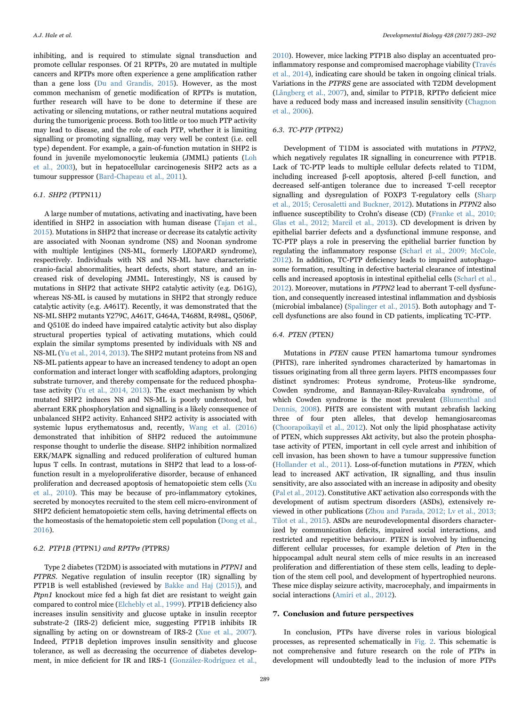inhibiting, and is required to stimulate signal transduction and promote cellular responses. Of 21 RPTPs, 20 are mutated in multiple cancers and RPTPs more often experience a gene amplification rather than a gene loss [\(Du and Grandis, 2015](#page-8-40)). However, as the most common mechanism of genetic modification of RPTPs is mutation, further research will have to be done to determine if these are activating or silencing mutations, or rather neutral mutations acquired during the tumorigenic process. Both too little or too much PTP activity may lead to disease, and the role of each PTP, whether it is limiting signalling or promoting signalling, may very well be context (i.e. cell type) dependent. For example, a gain-of-function mutation in SHP2 is found in juvenile myelomonocytic leukemia (JMML) patients ([Loh](#page-8-41) [et al., 2003\)](#page-8-41), but in hepatocellular carcinogenesis SHP2 acts as a tumour suppressor [\(Bard-Chapeau et al., 2011](#page-7-7)).

# 6.1. SHP2 (PTPN11)

A large number of mutations, activating and inactivating, have been identified in SHP2 in association with human disease ([Tajan et al.,](#page-9-35) [2015\)](#page-9-35). Mutations in SHP2 that increase or decrease its catalytic activity are associated with Noonan syndrome (NS) and Noonan syndrome with multiple lentigines (NS-ML, formerly LEOPARD syndrome), respectively. Individuals with NS and NS-ML have characteristic cranio-facial abnormalities, heart defects, short stature, and an increased risk of developing JMML. Interestingly, NS is caused by mutations in SHP2 that activate SHP2 catalytic activity (e.g. D61G), whereas NS-ML is caused by mutations in SHP2 that strongly reduce catalytic activity (e.g. A461T). Recently, it was demonstrated that the NS-ML SHP2 mutants Y279C, A461T, G464A, T468M, R498L, Q506P, and Q510E do indeed have impaired catalytic activity but also display structural properties typical of activating mutations, which could explain the similar symptoms presented by individuals with NS and NS-ML [\(Yu et al., 2014, 2013\)](#page-9-36). The SHP2 mutant proteins from NS and NS-ML patients appear to have an increased tendency to adopt an open conformation and interact longer with scaffolding adaptors, prolonging substrate turnover, and thereby compensate for the reduced phosphatase activity [\(Yu et al., 2014, 2013](#page-9-36)). The exact mechanism by which mutated SHP2 induces NS and NS-ML is poorly understood, but aberrant ERK phosphorylation and signalling is a likely consequence of unbalanced SHP2 activity. Enhanced SHP2 activity is associated with systemic lupus erythematosus and, recently, [Wang et al. \(2016\)](#page-9-37) demonstrated that inhibition of SHP2 reduced the autoimmune response thought to underlie the disease. SHP2 inhibition normalized ERK/MAPK signalling and reduced proliferation of cultured human lupus T cells. In contrast, mutations in SHP2 that lead to a loss-offunction result in a myeloproliferative disorder, because of enhanced proliferation and decreased apoptosis of hematopoietic stem cells [\(Xu](#page-9-38) [et al., 2010](#page-9-38)). This may be because of pro-inflammatory cytokines, secreted by monocytes recruited to the stem cell micro-environment of SHP2 deficient hematopoietic stem cells, having detrimental effects on the homeostasis of the hematopoietic stem cell population [\(Dong et al.,](#page-8-42) [2016\)](#page-8-42).

# 6.2. PTP1B (PTPN1) and RPTPσ (PTPRS)

Type 2 diabetes (T2DM) is associated with mutations in PTPN1 and PTPRS. Negative regulation of insulin receptor (IR) signalling by PTP1B is well established (reviewed by [Bakke and Haj \(2015\)\)](#page-7-8), and Ptpn1 knockout mice fed a high fat diet are resistant to weight gain compared to control mice ([Elchebly et al., 1999](#page-8-43)). PTP1B deficiency also increases insulin sensitivity and glucose uptake in insulin receptor substrate-2 (IRS-2) deficient mice, suggesting PTP1B inhibits IR signalling by acting on or downstream of IRS-2 ([Xue et al., 2007\)](#page-9-39). Indeed, PTP1B depletion improves insulin sensitivity and glucose tolerance, as well as decreasing the occurrence of diabetes development, in mice deficient for IR and IRS-1 ([González-Rodríguez et al.,](#page-8-44)

[2010\)](#page-8-44). However, mice lacking PTP1B also display an accentuated proinflammatory response and compromised macrophage viability [\(Través](#page-9-40) [et al., 2014\)](#page-9-40), indicating care should be taken in ongoing clinical trials. Variations in the PTPRS gene are associated with T2DM development ([Långberg et al., 2007\)](#page-8-45), and, similar to PTP1B, RPTPσ deficient mice have a reduced body mass and increased insulin sensitivity [\(Chagnon](#page-8-46) [et al., 2006](#page-8-46)).

# 6.3. TC-PTP (PTPN2)

Development of T1DM is associated with mutations in PTPN2, which negatively regulates IR signalling in concurrence with PTP1B. Lack of TC-PTP leads to multiple cellular defects related to T1DM, including increased β-cell apoptosis, altered β-cell function, and decreased self-antigen tolerance due to increased T-cell receptor signalling and dysregulation of FOXP3 T-regulatory cells ([Sharp](#page-9-41) [et al., 2015; Cerosaletti and Buckner, 2012](#page-9-41)). Mutations in PTPN2 also influence susceptibility to Crohn's disease (CD) [\(Franke et al., 2010;](#page-8-47) [Glas et al., 2012; Marcil et al., 2013\)](#page-8-47). CD development is driven by epithelial barrier defects and a dysfunctional immune response, and TC-PTP plays a role in preserving the epithelial barrier function by regulating the inflammatory response ([Scharl et al., 2009; McCole,](#page-9-42) [2012\)](#page-9-42). In addition, TC-PTP deficiency leads to impaired autophagosome formation, resulting in defective bacterial clearance of intestinal cells and increased apoptosis in intestinal epithelial cells [\(Scharl et al.,](#page-9-43) [2012\)](#page-9-43). Moreover, mutations in PTPN2 lead to aberrant T-cell dysfunction, and consequently increased intestinal inflammation and dysbiosis (microbial imbalance) ([Spalinger et al., 2015](#page-9-44)). Both autophagy and Tcell dysfunctions are also found in CD patients, implicating TC-PTP.

# 6.4. PTEN (PTEN)

Mutations in PTEN cause PTEN hamartoma tumour syndromes (PHTS), rare inherited syndromes characterized by hamartomas in tissues originating from all three germ layers. PHTS encompasses four distinct syndromes: Proteus syndrome, Proteus-like syndrome, Cowden syndrome, and Bannayan-Riley-Ruvalcaba syndrome, of which Cowden syndrome is the most prevalent ([Blumenthal and](#page-8-48) [Dennis, 2008](#page-8-48)). PHTS are consistent with mutant zebrafish lacking three of four pten alleles, that develop hemangiosarcomas ([Choorapoikayil et al., 2012\)](#page-8-49). Not only the lipid phosphatase activity of PTEN, which suppresses Akt activity, but also the protein phosphatase activity of PTEN, important in cell cycle arrest and inhibition of cell invasion, has been shown to have a tumour suppressive function ([Hollander et al., 2011](#page-8-50)). Loss-of-function mutations in PTEN, which lead to increased AKT activation, IR signalling, and thus insulin sensitivity, are also associated with an increase in adiposity and obesity ([Pal et al., 2012\)](#page-9-45). Constitutive AKT activation also corresponds with the development of autism spectrum disorders (ASDs), extensively reviewed in other publications ([Zhou and Parada, 2012; Lv et al., 2013;](#page-9-46) [Tilot et al., 2015\)](#page-9-46). ASDs are neurodevelopmental disorders characterized by communication deficits, impaired social interactions, and restricted and repetitive behaviour. PTEN is involved by influencing different cellular processes, for example deletion of Pten in the hippocampal adult neural stem cells of mice results in an increased proliferation and differentiation of these stem cells, leading to depletion of the stem cell pool, and development of hypertrophied neurons. These mice display seizure activity, macrocephaly, and impairments in social interactions ([Amiri et al., 2012](#page-7-9)).

#### 7. Conclusion and future perspectives

In conclusion, PTPs have diverse roles in various biological processes, as represented schematically in [Fig. 2.](#page-7-10) This schematic is not comprehensive and future research on the role of PTPs in development will undoubtedly lead to the inclusion of more PTPs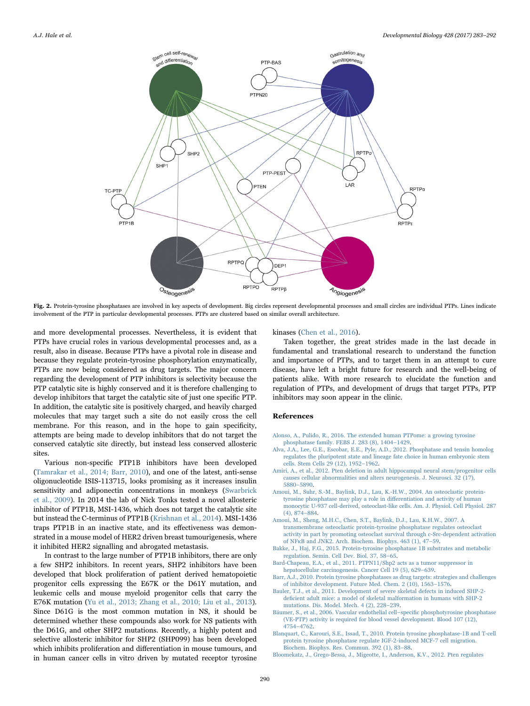<span id="page-7-10"></span>

Fig. 2. Protein-tyrosine phosphatases are involved in key aspects of development. Big circles represent developmental processes and small circles are individual PTPs. Lines indicate involvement of the PTP in particular developmental processes. PTPs are clustered based on similar overall architecture.

and more developmental processes. Nevertheless, it is evident that PTPs have crucial roles in various developmental processes and, as a result, also in disease. Because PTPs have a pivotal role in disease and because they regulate protein-tyrosine phosphorylation enzymatically, PTPs are now being considered as drug targets. The major concern regarding the development of PTP inhibitors is selectivity because the PTP catalytic site is highly conserved and it is therefore challenging to develop inhibitors that target the catalytic site of just one specific PTP. In addition, the catalytic site is positively charged, and heavily charged molecules that may target such a site do not easily cross the cell membrane. For this reason, and in the hope to gain specificity, attempts are being made to develop inhibitors that do not target the conserved catalytic site directly, but instead less conserved allosteric sites.

Various non-specific PTP1B inhibitors have been developed ([Tamrakar et al., 2014; Barr, 2010\)](#page-9-47), and one of the latest, anti-sense oligonucleotide ISIS-113715, looks promising as it increases insulin sensitivity and adiponectin concentrations in monkeys [\(Swarbrick](#page-9-48) [et al., 2009](#page-9-48)). In 2014 the lab of Nick Tonks tested a novel allosteric inhibitor of PTP1B, MSI-1436, which does not target the catalytic site but instead the C-terminus of PTP1B [\(Krishnan et al., 2014\)](#page-8-51). MSI-1436 traps PTP1B in an inactive state, and its effectiveness was demonstrated in a mouse model of HER2 driven breast tumourigenesis, where it inhibited HER2 signalling and abrogated metastasis.

In contrast to the large number of PTP1B inhibitors, there are only a few SHP2 inhibitors. In recent years, SHP2 inhibitors have been developed that block proliferation of patient derived hematopoietic progenitor cells expressing the E67K or the D61Y mutation, and leukemic cells and mouse myeloid progenitor cells that carry the E76K mutation [\(Yu et al., 2013; Zhang et al., 2010; Liu et al., 2013\)](#page-9-49). Since D61G is the most common mutation in NS, it should be determined whether these compounds also work for NS patients with the D61G, and other SHP2 mutations. Recently, a highly potent and selective allosteric inhibitor for SHP2 (SHP099) has been developed which inhibits proliferation and differentiation in mouse tumours, and in human cancer cells in vitro driven by mutated receptor tyrosine

#### kinases [\(Chen et al., 2016\)](#page-8-52).

Taken together, the great strides made in the last decade in fundamental and translational research to understand the function and importance of PTPs, and to target them in an attempt to cure disease, have left a bright future for research and the well-being of patients alike. With more research to elucidate the function and regulation of PTPs, and development of drugs that target PTPs, PTP inhibitors may soon appear in the clinic.

# References

- <span id="page-7-0"></span>[Alonso, A., Pulido, R., 2016. The extended human PTPome: a growing tyrosine](http://refhub.elsevier.com/S0012-1606(17)30024-6/sbref1) [phosphatase family. FEBS J. 283 \(8\), 1404](http://refhub.elsevier.com/S0012-1606(17)30024-6/sbref1)–1429.
- <span id="page-7-1"></span>[Alva, J.A., Lee, G.E., Escobar, E.E., Pyle, A.D., 2012. Phosphatase and tensin homolog](http://refhub.elsevier.com/S0012-1606(17)30024-6/sbref2) [regulates the pluripotent state and lineage fate choice in human embryonic stem](http://refhub.elsevier.com/S0012-1606(17)30024-6/sbref2) [cells. Stem Cells 29 \(12\), 1952](http://refhub.elsevier.com/S0012-1606(17)30024-6/sbref2)–1962.
- <span id="page-7-9"></span>[Amiri, A., et al., 2012. Pten deletion in adult hippocampal neural stem/progenitor cells](http://refhub.elsevier.com/S0012-1606(17)30024-6/sbref3) [causes cellular abnormalities and alters neurogenesis. J. Neurosci. 32 \(17\),](http://refhub.elsevier.com/S0012-1606(17)30024-6/sbref3) 5880–[5890](http://refhub.elsevier.com/S0012-1606(17)30024-6/sbref3).
- <span id="page-7-4"></span>[Amoui, M., Suhr, S.-M., Baylink, D.J., Lau, K.-H.W., 2004. An osteoclastic protein](http://refhub.elsevier.com/S0012-1606(17)30024-6/sbref4)[tyrosine phosphatase may play a role in di](http://refhub.elsevier.com/S0012-1606(17)30024-6/sbref4)fferentiation and activity of human [monocytic U-937 cell-derived, osteoclast-like cells. Am. J. Physiol. Cell Physiol. 287](http://refhub.elsevier.com/S0012-1606(17)30024-6/sbref4) [\(4\), 874](http://refhub.elsevier.com/S0012-1606(17)30024-6/sbref4)–884.
- <span id="page-7-5"></span>[Amoui, M., Sheng, M.H.C., Chen, S.T., Baylink, D.J., Lau, K.H.W., 2007. A](http://refhub.elsevier.com/S0012-1606(17)30024-6/sbref5) [transmembrane osteoclastic protein-tyrosine phosphatase regulates osteoclast](http://refhub.elsevier.com/S0012-1606(17)30024-6/sbref5) [activity in part by promoting osteoclast survival through c-Src-dependent activation](http://refhub.elsevier.com/S0012-1606(17)30024-6/sbref5) of NFκ[B and JNK2. Arch. Biochem. Biophys. 463 \(1\), 47](http://refhub.elsevier.com/S0012-1606(17)30024-6/sbref5)–59.
- <span id="page-7-8"></span>[Bakke, J., Haj, F.G., 2015. Protein-tyrosine phosphatase 1B substrates and metabolic](http://refhub.elsevier.com/S0012-1606(17)30024-6/sbref6) [regulation. Semin. Cell Dev. Biol. 37, 58](http://refhub.elsevier.com/S0012-1606(17)30024-6/sbref6)–65.
- <span id="page-7-7"></span>[Bard-Chapeau, E.A., et al., 2011. PTPN11/Shp2 acts as a tumor suppressor in](http://refhub.elsevier.com/S0012-1606(17)30024-6/sbref7) [hepatocellular carcinogenesis. Cancer Cell 19 \(5\), 629](http://refhub.elsevier.com/S0012-1606(17)30024-6/sbref7)–639.
- [Barr, A.J., 2010. Protein tyrosine phosphatases as drug targets: strategies and challenges](http://refhub.elsevier.com/S0012-1606(17)30024-6/sbref8) [of inhibitor development. Future Med. Chem. 2 \(10\), 1563](http://refhub.elsevier.com/S0012-1606(17)30024-6/sbref8)–1576.
- <span id="page-7-3"></span>[Bauler, T.J., et al., 2011. Development of severe skeletal defects in induced SHP-2](http://refhub.elsevier.com/S0012-1606(17)30024-6/sbref9) defi[cient adult mice: a model of skeletal malformation in humans with SHP-2](http://refhub.elsevier.com/S0012-1606(17)30024-6/sbref9) [mutations. Dis. Model. Mech. 4 \(2\), 228](http://refhub.elsevier.com/S0012-1606(17)30024-6/sbref9)–239.
- <span id="page-7-6"></span>[Bäumer, S., et al., 2006. Vascular endothelial cell](http://refhub.elsevier.com/S0012-1606(17)30024-6/sbref10)–specific phosphotyrosine phosphatase [\(VE-PTP\) activity is required for blood vessel development. Blood 107 \(12\),](http://refhub.elsevier.com/S0012-1606(17)30024-6/sbref10) 4754–[4762](http://refhub.elsevier.com/S0012-1606(17)30024-6/sbref10).
- [Blanquart, C., Karouri, S.E., Issad, T., 2010. Protein tyrosine phosphatase-1B and T-cell](http://refhub.elsevier.com/S0012-1606(17)30024-6/sbref11) [protein tyrosine phosphatase regulate IGF-2-induced MCF-7 cell migration.](http://refhub.elsevier.com/S0012-1606(17)30024-6/sbref11) [Biochem. Biophys. Res. Commun. 392 \(1\), 83](http://refhub.elsevier.com/S0012-1606(17)30024-6/sbref11)–88.
- <span id="page-7-2"></span>[Bloomekatz, J., Grego-Bessa, J., Migeotte, I., Anderson, K.V., 2012. Pten regulates](http://refhub.elsevier.com/S0012-1606(17)30024-6/sbref12)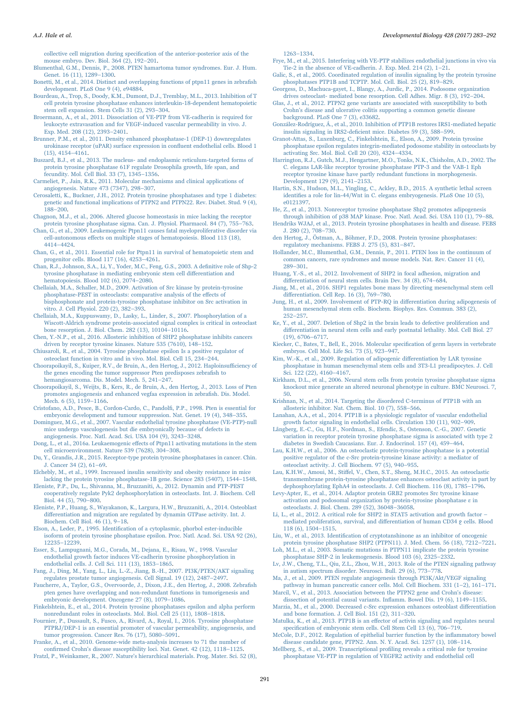collective cell migration during specifi[cation of the anterior-posterior axis of the](http://refhub.elsevier.com/S0012-1606(17)30024-6/sbref12) [mouse embryo. Dev. Biol. 364 \(2\), 192](http://refhub.elsevier.com/S0012-1606(17)30024-6/sbref12)–201.

<span id="page-8-48"></span>[Blumenthal, G.M., Dennis, P., 2008. PTEN hamartoma tumor syndromes. Eur. J. Hum.](http://refhub.elsevier.com/S0012-1606(17)30024-6/sbref13) [Genet. 16 \(11\), 1289](http://refhub.elsevier.com/S0012-1606(17)30024-6/sbref13)–1300.

- <span id="page-8-17"></span>[Bonetti, M., et al., 2014. Distinct and overlapping functions of ptpn11 genes in zebra](http://refhub.elsevier.com/S0012-1606(17)30024-6/sbref14)fish [development. PLoS One 9 \(4\), e94884.](http://refhub.elsevier.com/S0012-1606(17)30024-6/sbref14)
- <span id="page-8-6"></span>[Bourdeau, A., Trop, S., Doody, K.M., Dumont, D.J., Tremblay, M.L., 2013. Inhibition of T](http://refhub.elsevier.com/S0012-1606(17)30024-6/sbref15) [cell protein tyrosine phosphatase enhances interleukin-18-dependent hematopoietic](http://refhub.elsevier.com/S0012-1606(17)30024-6/sbref15) [stem cell expansion. Stem Cells 31 \(2\), 293](http://refhub.elsevier.com/S0012-1606(17)30024-6/sbref15)–304.
- [Broermann, A., et al., 2011. Dissociation of VE-PTP from VE-cadherin is required for](http://refhub.elsevier.com/S0012-1606(17)30024-6/sbref16) [leukocyte extravasation and for VEGF-induced vascular permeability in vivo. J.](http://refhub.elsevier.com/S0012-1606(17)30024-6/sbref16) [Exp. Med. 208 \(12\), 2393](http://refhub.elsevier.com/S0012-1606(17)30024-6/sbref16)–2401.
- <span id="page-8-38"></span>[Brunner, P.M., et al., 2011. Density enhanced phosphatase-1 \(DEP-1\) downregulates](http://refhub.elsevier.com/S0012-1606(17)30024-6/sbref17) [urokinase receptor \(uPAR\) surface expression in con](http://refhub.elsevier.com/S0012-1606(17)30024-6/sbref17)fluent endothelial cells. Blood 1 [\(15\), 4154](http://refhub.elsevier.com/S0012-1606(17)30024-6/sbref17)–4161.
- <span id="page-8-15"></span>[Buszard, B.J., et al., 2013. The nucleus- and endoplasmic reticulum-targeted forms of](http://refhub.elsevier.com/S0012-1606(17)30024-6/sbref18) [protein tyrosine phosphatase 61F regulate Drosophila growth, life span, and](http://refhub.elsevier.com/S0012-1606(17)30024-6/sbref18) [fecundity. Mol. Cell Biol. 33 \(7\), 1345](http://refhub.elsevier.com/S0012-1606(17)30024-6/sbref18)–1356.
- <span id="page-8-31"></span>[Carmeliet, P., Jain, R.K., 2011. Molecular mechanisms and clinical applications of](http://refhub.elsevier.com/S0012-1606(17)30024-6/sbref19) [angiogenesis. Nature 473 \(7347\), 298](http://refhub.elsevier.com/S0012-1606(17)30024-6/sbref19)–307.
- [Cerosaletti, K., Buckner, J.H., 2012. Protein tyrosine phosphatases and type 1 diabetes:](http://refhub.elsevier.com/S0012-1606(17)30024-6/sbref20) [genetic and functional implications of PTPN2 and PTPN22. Rev. Diabet. Stud. 9 \(4\),](http://refhub.elsevier.com/S0012-1606(17)30024-6/sbref20) 188–[200](http://refhub.elsevier.com/S0012-1606(17)30024-6/sbref20).
- <span id="page-8-46"></span>[Chagnon, M.J., et al., 2006. Altered glucose homeostasis in mice lacking the receptor](http://refhub.elsevier.com/S0012-1606(17)30024-6/sbref21) [protein tyrosine phosphatase sigma. Can. J. Physiol. Pharmacol. 84 \(7\), 755](http://refhub.elsevier.com/S0012-1606(17)30024-6/sbref21)–763.
- <span id="page-8-5"></span>[Chan, G., et al., 2009. Leukemogenic Ptpn11 causes fatal myeloproliferative disorder via](http://refhub.elsevier.com/S0012-1606(17)30024-6/sbref22) cell-autonomous eff[ects on multiple stages of hematopoiesis. Blood 113 \(18\),](http://refhub.elsevier.com/S0012-1606(17)30024-6/sbref22) 4414–[4424](http://refhub.elsevier.com/S0012-1606(17)30024-6/sbref22).
- <span id="page-8-4"></span>[Chan, G., et al., 2011. Essential role for Ptpn11 in survival of hematopoietic stem and](http://refhub.elsevier.com/S0012-1606(17)30024-6/sbref23) [progenitor cells. Blood 117 \(16\), 4253](http://refhub.elsevier.com/S0012-1606(17)30024-6/sbref23)–4261.
- <span id="page-8-1"></span>[Chan, R.J., Johnson, S.A., Li, Y., Yoder, M.C., Feng, G.S., 2003. A de](http://refhub.elsevier.com/S0012-1606(17)30024-6/sbref24)finitive role of Shp-2 [tyrosine phosphatase in mediating embryonic stem cell di](http://refhub.elsevier.com/S0012-1606(17)30024-6/sbref24)fferentiation and [hematopoiesis. Blood 102 \(6\), 2074](http://refhub.elsevier.com/S0012-1606(17)30024-6/sbref24)–2080.

[Chellaiah, M.A., Schaller, M.D., 2009. Activation of Src kinase by protein-tyrosine](http://refhub.elsevier.com/S0012-1606(17)30024-6/sbref25) [phosphatase-PEST in osteoclasts: comparative analysis of the e](http://refhub.elsevier.com/S0012-1606(17)30024-6/sbref25)ffects of [bisphosphonate and protein-tyrosine phosphatase inhibitor on Src activation in](http://refhub.elsevier.com/S0012-1606(17)30024-6/sbref25) [vitro. J. Cell Physiol. 220 \(2\), 382](http://refhub.elsevier.com/S0012-1606(17)30024-6/sbref25)–393.

<span id="page-8-25"></span>[Chellaiah, M.A., Kuppuswamy, D., Lasky, L., Linder, S., 2007. Phosphorylation of a](http://refhub.elsevier.com/S0012-1606(17)30024-6/sbref26) [Wiscott-Aldrich syndrome protein-associated signal complex is critical in osteoclast](http://refhub.elsevier.com/S0012-1606(17)30024-6/sbref26) [bone resorption. J. Biol. Chem. 282 \(13\), 10104](http://refhub.elsevier.com/S0012-1606(17)30024-6/sbref26)–10116.

- <span id="page-8-52"></span>[Chen, Y.-N.P., et al., 2016. Allosteric inhibition of SHP2 phosphatase inhibits cancers](http://refhub.elsevier.com/S0012-1606(17)30024-6/sbref27) [driven by receptor tyrosine kinases. Nature 535 \(7610\), 148](http://refhub.elsevier.com/S0012-1606(17)30024-6/sbref27)–152.
- [Chiusaroli, R., et al., 2004. Tyrosine phosphatase epsilon Is a positive regulator of](http://refhub.elsevier.com/S0012-1606(17)30024-6/sbref28) [osteoclast function in vitro and in vivo. Mol. Biol. Cell 15, 234](http://refhub.elsevier.com/S0012-1606(17)30024-6/sbref28)–244.
- <span id="page-8-49"></span>Choorapoikayil, [S., Kuiper, R.V., de Bruin, A., den Hertog, J., 2012. Haploinsu](http://refhub.elsevier.com/S0012-1606(17)30024-6/sbref29)fficiency of [the genes encoding the tumor suppressor Pten predisposes zebra](http://refhub.elsevier.com/S0012-1606(17)30024-6/sbref29)fish to [hemangiosarcoma. Dis. Model. Mech. 5, 241](http://refhub.elsevier.com/S0012-1606(17)30024-6/sbref29)–247.
- <span id="page-8-33"></span>[Choorapoikayil, S., Weijts, B., Kers, R., de Bruin, A., den Hertog, J., 2013. Loss of Pten](http://refhub.elsevier.com/S0012-1606(17)30024-6/sbref30) [promotes angiogenesis and enhanced vegfaa expression in zebra](http://refhub.elsevier.com/S0012-1606(17)30024-6/sbref30)fish. Dis. Model. [Mech. 6 \(5\), 1159](http://refhub.elsevier.com/S0012-1606(17)30024-6/sbref30)–1166.
- <span id="page-8-13"></span>[Cristofano, A.D., Pesce, B., Cordon-Cardo, C., Pandol](http://refhub.elsevier.com/S0012-1606(17)30024-6/sbref31)fi, P.P., 1998. Pten is essential for [embryonic development and tumour suppression. Nat. Genet. 19 \(4\), 348](http://refhub.elsevier.com/S0012-1606(17)30024-6/sbref31)–355.
- [Dominguez, M.G., et al., 2007. Vascular endothelial tyrosine phosphatase \(VE-PTP\)-null](http://refhub.elsevier.com/S0012-1606(17)30024-6/sbref32) [mice undergo vasculogenesis but die embryonically because of defects in](http://refhub.elsevier.com/S0012-1606(17)30024-6/sbref32) [angiogenesis. Proc. Natl. Acad. Sci. USA 104 \(9\), 3243](http://refhub.elsevier.com/S0012-1606(17)30024-6/sbref32)–3248.
- <span id="page-8-42"></span>Dong, L., et al., 2016a. Leukaemogenic eff[ects of Ptpn11 activating mutations in the stem](http://refhub.elsevier.com/S0012-1606(17)30024-6/sbref33) [cell microenvironment. Nature 539 \(7628\), 304](http://refhub.elsevier.com/S0012-1606(17)30024-6/sbref33)–308.
- <span id="page-8-40"></span>[Du, Y., Grandis, J.R., 2015. Receptor-type protein tyrosine phosphatases in cancer. Chin.](http://refhub.elsevier.com/S0012-1606(17)30024-6/sbref34) [J. Cancer 34 \(2\), 61](http://refhub.elsevier.com/S0012-1606(17)30024-6/sbref34)–69.
- <span id="page-8-43"></span>[Elchebly, M., et al., 1999. Increased insulin sensitivity and obesity resistance in mice](http://refhub.elsevier.com/S0012-1606(17)30024-6/sbref35) [lacking the protein tyrosine phosphatase-1B gene. Science 283 \(5407\), 1544](http://refhub.elsevier.com/S0012-1606(17)30024-6/sbref35)–1548.
- <span id="page-8-26"></span>[Eleniste, P.P., Du, L., Shivanna, M., Bruzzaniti, A., 2012. Dynamin and PTP-PEST](http://refhub.elsevier.com/S0012-1606(17)30024-6/sbref36) [cooperatively regulate Pyk2 dephosphorylation in osteoclasts. Int. J. Biochem. Cell](http://refhub.elsevier.com/S0012-1606(17)30024-6/sbref36) [Biol. 44 \(5\), 790](http://refhub.elsevier.com/S0012-1606(17)30024-6/sbref36)–800.
- <span id="page-8-27"></span>[Eleniste, P.P., Huang, S., Wayakanon, K., Largura, H.W., Bruzzaniti, A., 2014. Osteoblast](http://refhub.elsevier.com/S0012-1606(17)30024-6/sbref37) diff[erentiation and migration are regulated by dynamin GTPase activity. Int. J.](http://refhub.elsevier.com/S0012-1606(17)30024-6/sbref37) [Biochem. Cell Biol. 46 \(1\), 9](http://refhub.elsevier.com/S0012-1606(17)30024-6/sbref37)–18.
- <span id="page-8-22"></span>Elson, A., Leder, P., 1995. Identifi[cation of a cytoplasmic, phorbol ester-inducible](http://refhub.elsevier.com/S0012-1606(17)30024-6/sbref38) [isoform of protein tyrosine phosphatase epsilon. Proc. Natl. Acad. Sci. USA 92 \(26\),](http://refhub.elsevier.com/S0012-1606(17)30024-6/sbref38) 12235–[12239.](http://refhub.elsevier.com/S0012-1606(17)30024-6/sbref38)
- <span id="page-8-30"></span>[Esser, S., Lampugnani, M.G., Corada, M., Dejana, E., Risau, W., 1998. Vascular](http://refhub.elsevier.com/S0012-1606(17)30024-6/sbref39) [endothelial growth factor induces VE-cadherin tyrosine phosphorylation in](http://refhub.elsevier.com/S0012-1606(17)30024-6/sbref39) [endothelial cells. J. Cell Sci. 111 \(13\), 1853](http://refhub.elsevier.com/S0012-1606(17)30024-6/sbref39)–1865.
- <span id="page-8-34"></span>[Fang, J., Ding, M., Yang, L., Liu, L.-Z., Jiang, B.-H., 2007. PI3K/PTEN/AKT signaling](http://refhub.elsevier.com/S0012-1606(17)30024-6/sbref40) [regulates prostate tumor angiogenesis. Cell Signal. 19 \(12\), 2487](http://refhub.elsevier.com/S0012-1606(17)30024-6/sbref40)–2497.
- <span id="page-8-14"></span>[Faucherre, A., Taylor, G.S., Overvoorde, J., Dixon, J.E., den Hertog, J., 2008. Zebra](http://refhub.elsevier.com/S0012-1606(17)30024-6/sbref41)fish [pten genes have overlapping and non-redundant functions in tumorigenesis and](http://refhub.elsevier.com/S0012-1606(17)30024-6/sbref41) [embryonic development. Oncogene 27 \(8\), 1079](http://refhub.elsevier.com/S0012-1606(17)30024-6/sbref41)–1086.
- <span id="page-8-23"></span>[Finkelshtein, E., et al., 2014. Protein tyrosine phosphatases epsilon and alpha perform](http://refhub.elsevier.com/S0012-1606(17)30024-6/sbref42) [nonredundant roles in osteoclasts. Mol. Biol. Cell 25 \(11\), 1808](http://refhub.elsevier.com/S0012-1606(17)30024-6/sbref42)–1818.
- <span id="page-8-37"></span>[Fournier, P., Dussault, S., Fusco, A., Rivard, A., Royal, I., 2016. Tyrosine phosphatase](http://refhub.elsevier.com/S0012-1606(17)30024-6/sbref43) [PTPRJ/DEP-1 is an essential promoter of vascular permeability, angiogenesis, and](http://refhub.elsevier.com/S0012-1606(17)30024-6/sbref43) [tumor progression. Cancer Res. 76 \(17\), 5080](http://refhub.elsevier.com/S0012-1606(17)30024-6/sbref43)–5091.
- <span id="page-8-47"></span>Franke, [A., et al., 2010. Genome-wide meta-analysis increases to 71 the number of](http://refhub.elsevier.com/S0012-1606(17)30024-6/sbref44) confi[rmed Crohn's disease susceptibility loci. Nat. Genet. 42 \(12\), 1118](http://refhub.elsevier.com/S0012-1606(17)30024-6/sbref44)–1125.

<span id="page-8-20"></span>[Fratzl, P., Weinkamer, R., 2007. Nature's hierarchical materials. Prog. Mater. Sci. 52 \(8\),](http://refhub.elsevier.com/S0012-1606(17)30024-6/sbref45)

1263–[1334](http://refhub.elsevier.com/S0012-1606(17)30024-6/sbref45).

- <span id="page-8-36"></span>[Frye, M., et al., 2015. Interfering with VE-PTP stabilizes endothelial junctions in vivo via](http://refhub.elsevier.com/S0012-1606(17)30024-6/sbref46) [Tie-2 in the absence of VE-cadherin. J. Exp. Med. 214 \(2\), 1](http://refhub.elsevier.com/S0012-1606(17)30024-6/sbref46)–21.
- <span id="page-8-16"></span>[Galic, S., et al., 2005. Coordinated regulation of insulin signaling by the protein tyrosine](http://refhub.elsevier.com/S0012-1606(17)30024-6/sbref47) [phosphatases PTP1B and TCPTP. Mol. Cell. Biol. 25 \(2\), 819](http://refhub.elsevier.com/S0012-1606(17)30024-6/sbref47)–829.
- [Georgess, D., Machuca-gayet, I., Blangy, A., Jurdic, P., 2014. Podosome organization](http://refhub.elsevier.com/S0012-1606(17)30024-6/sbref48) [drives osteoclast- mediated bone resorption. Cell Adhes. Migr. 8 \(3\), 192](http://refhub.elsevier.com/S0012-1606(17)30024-6/sbref48)–204.
- [Glas, J., et al., 2012. PTPN2 gene variants are associated with susceptibility to both](http://refhub.elsevier.com/S0012-1606(17)30024-6/sbref49) [Crohn's disease and ulcerative colitis supporting a common genetic disease](http://refhub.elsevier.com/S0012-1606(17)30024-6/sbref49) [background. PLoS One 7 \(3\), e33682](http://refhub.elsevier.com/S0012-1606(17)30024-6/sbref49).
- <span id="page-8-44"></span>[González-Rodríguez, Á., et al., 2010. Inhibition of PTP1B restores IRS1-mediated hepatic](http://refhub.elsevier.com/S0012-1606(17)30024-6/sbref50) insulin signaling in IRS2-defi[cient mice. Diabetes 59 \(3\), 588](http://refhub.elsevier.com/S0012-1606(17)30024-6/sbref50)–599.
- <span id="page-8-24"></span>[Granot-Attas, S., Luxenburg, C., Finkelshtein, E., Elson, A., 2009. Protein tyrosine](http://refhub.elsevier.com/S0012-1606(17)30024-6/sbref51) [phosphatase epsilon regulates integrin-mediated podosome stability in osteoclasts by](http://refhub.elsevier.com/S0012-1606(17)30024-6/sbref51) [activating Src. Mol. Biol. Cell 20 \(20\), 4324](http://refhub.elsevier.com/S0012-1606(17)30024-6/sbref51)–4334.
- <span id="page-8-18"></span>[Harrington, R.J., Gutch, M.J., Hengartner, M.O., Tonks, N.K., Chisholm, A.D., 2002. The](http://refhub.elsevier.com/S0012-1606(17)30024-6/sbref52) [C. elegans LAR-like receptor tyrosine phosphatase PTP-3 and the VAB-1 Eph](http://refhub.elsevier.com/S0012-1606(17)30024-6/sbref52) [receptor tyrosine kinase have partly redundant functions in morphogenesis.](http://refhub.elsevier.com/S0012-1606(17)30024-6/sbref52) [Development 129 \(9\), 2141](http://refhub.elsevier.com/S0012-1606(17)30024-6/sbref52)–2153.
- <span id="page-8-19"></span>[Hartin, S.N., Hudson, M.L., Yingling, C., Ackley, B.D., 2015. A synthetic lethal screen](http://refhub.elsevier.com/S0012-1606(17)30024-6/sbref53) identifi[es a role for lin-44/Wnt in C. elegans embryogenesis. PLoS One 10 \(5\),](http://refhub.elsevier.com/S0012-1606(17)30024-6/sbref53) [e0121397.](http://refhub.elsevier.com/S0012-1606(17)30024-6/sbref53)
- <span id="page-8-2"></span>[He, Z., et al., 2013. Nonreceptor tyrosine phosphatase Shp2 promotes adipogenesis](http://refhub.elsevier.com/S0012-1606(17)30024-6/sbref54) [through inhibition of p38 MAP kinase. Proc. Natl. Acad. Sci. USA 110 \(1\), 79](http://refhub.elsevier.com/S0012-1606(17)30024-6/sbref54)-88.
- <span id="page-8-39"></span>[Hendriks WJAJ, et al., 2013. Protein tyrosine phosphatases in health and disease. FEBS](http://refhub.elsevier.com/S0012-1606(17)30024-6/sbref55) [J. 280 \(2\), 708](http://refhub.elsevier.com/S0012-1606(17)30024-6/sbref55)–730.
- <span id="page-8-0"></span>[den Hertog, J., Östman, A., Böhmer, F.D., 2008. Protein tyrosine phosphatases:](http://refhub.elsevier.com/S0012-1606(17)30024-6/sbref56) [regulatory mechanisms. FEBS J. 275 \(5\), 831](http://refhub.elsevier.com/S0012-1606(17)30024-6/sbref56)–847.
- <span id="page-8-50"></span>[Hollander, M.C., Blumenthal, G.M., Dennis, P., 2011. PTEN loss in the continuum of](http://refhub.elsevier.com/S0012-1606(17)30024-6/sbref57) [common cancers, rare syndromes and mouse models. Nat. Rev. Cancer 11 \(4\),](http://refhub.elsevier.com/S0012-1606(17)30024-6/sbref57) 289–[301](http://refhub.elsevier.com/S0012-1606(17)30024-6/sbref57).
- [Huang, Y.-S., et al., 2012. Involvement of SHP2 in focal adhesion, migration and](http://refhub.elsevier.com/S0012-1606(17)30024-6/sbref58) diff[erentiation of neural stem cells. Brain Dev. 34 \(8\), 674](http://refhub.elsevier.com/S0012-1606(17)30024-6/sbref58)–684.
- <span id="page-8-11"></span>[Jiang, M., et al., 2016. SHP1 regulates bone mass by directing mesenchymal stem cell](http://refhub.elsevier.com/S0012-1606(17)30024-6/sbref59) diff[erentiation. Cell Rep. 16 \(3\), 769](http://refhub.elsevier.com/S0012-1606(17)30024-6/sbref59)-780.
- <span id="page-8-10"></span>[Jung, H., et al., 2009. Involvement of PTP-RQ in di](http://refhub.elsevier.com/S0012-1606(17)30024-6/sbref60)fferentiation during adipogenesis of [human mesenchymal stem cells. Biochem. Biophys. Res. Commun. 383 \(2\),](http://refhub.elsevier.com/S0012-1606(17)30024-6/sbref60) 252–[257](http://refhub.elsevier.com/S0012-1606(17)30024-6/sbref60).
- <span id="page-8-7"></span>[Ke, Y., et al., 2007. Deletion of Shp2 in the brain leads to defective proliferation and](http://refhub.elsevier.com/S0012-1606(17)30024-6/sbref61) differentiation [in neural stem cells and early postnatal lethality. Mol. Cell Biol. 27](http://refhub.elsevier.com/S0012-1606(17)30024-6/sbref61) [\(19\), 6706](http://refhub.elsevier.com/S0012-1606(17)30024-6/sbref61)–6717.
- <span id="page-8-12"></span>[Kiecker, C., Bates, T., Bell, E., 2016. Molecular speci](http://refhub.elsevier.com/S0012-1606(17)30024-6/sbref62)fication of germ layers in vertebrate [embryos. Cell Mol. Life Sci. 73 \(5\), 923](http://refhub.elsevier.com/S0012-1606(17)30024-6/sbref62)–947.
- <span id="page-8-9"></span>[Kim, W.-K., et al., 2009. Regulation of adipogenic di](http://refhub.elsevier.com/S0012-1606(17)30024-6/sbref63)fferentiation by LAR tyrosine [phosphatase in human mesenchymal stem cells and 3T3-L1 preadipocytes. J. Cell](http://refhub.elsevier.com/S0012-1606(17)30024-6/sbref63) [Sci. 122 \(22\), 4160](http://refhub.elsevier.com/S0012-1606(17)30024-6/sbref63)–4167.
- <span id="page-8-8"></span>[Kirkham, D.L., et al., 2006. Neural stem cells from protein tyrosine phosphatase sigma](http://refhub.elsevier.com/S0012-1606(17)30024-6/sbref64) [knockout mice generate an altered neuronal phenotype in culture. BMC Neurosci. 7,](http://refhub.elsevier.com/S0012-1606(17)30024-6/sbref64) [50.](http://refhub.elsevier.com/S0012-1606(17)30024-6/sbref64)
- <span id="page-8-51"></span>[Krishnan, N., et al., 2014. Targeting the disordered C-terminus of PTP1B with an](http://refhub.elsevier.com/S0012-1606(17)30024-6/sbref65) [allosteric inhibitor. Nat. Chem. Biol. 10 \(7\), 558](http://refhub.elsevier.com/S0012-1606(17)30024-6/sbref65)–566.
- <span id="page-8-32"></span>[Lanahan, A.A., et al., 2014. PTP1B is a physiologic regulator of vascular endothelial](http://refhub.elsevier.com/S0012-1606(17)30024-6/sbref66) [growth factor signaling in endothelial cells. Circulation 130 \(11\), 902](http://refhub.elsevier.com/S0012-1606(17)30024-6/sbref66)–909.
- <span id="page-8-45"></span>[Långberg, E.-C., Gu, H.F., Nordman, S., Efendic, S., Ostenson, C.-G., 2007. Genetic](http://refhub.elsevier.com/S0012-1606(17)30024-6/sbref67) [variation in receptor protein tyrosine phosphatase sigma is associated with type 2](http://refhub.elsevier.com/S0012-1606(17)30024-6/sbref67) [diabetes in Swedish Caucasians. Eur. J. Endocrinol. 157 \(4\), 459](http://refhub.elsevier.com/S0012-1606(17)30024-6/sbref67)–464.
- <span id="page-8-28"></span>[Lau, K.H.W., et al., 2006. An osteoclastic protein-tyrosine phosphatase is a potential](http://refhub.elsevier.com/S0012-1606(17)30024-6/sbref68) [positive regulator of the c-Src protein-tyrosine kinase activity: a mediator of](http://refhub.elsevier.com/S0012-1606(17)30024-6/sbref68) [osteoclast activity. J. Cell Biochem. 97 \(5\), 940](http://refhub.elsevier.com/S0012-1606(17)30024-6/sbref68)–955.
- <span id="page-8-29"></span>Lau, K.H.W., Amoui, M., Stiff[el, V., Chen, S.T., Sheng, M.H.C., 2015. An osteoclastic](http://refhub.elsevier.com/S0012-1606(17)30024-6/sbref69) [transmembrane protein-tyrosine phosphatase enhances osteoclast activity in part by](http://refhub.elsevier.com/S0012-1606(17)30024-6/sbref69) [dephosphorylating EphA4 in osteoclasts. J. Cell Biochem. 116 \(8\), 1785](http://refhub.elsevier.com/S0012-1606(17)30024-6/sbref69)–1796.
- [Levy-Apter, E., et al., 2014. Adaptor protein GRB2 promotes Src tyrosine kinase](http://refhub.elsevier.com/S0012-1606(17)30024-6/sbref70) [activation and podosomal organization by protein-tyrosine phosphatase](http://refhub.elsevier.com/S0012-1606(17)30024-6/sbref70) ε in [osteoclasts. J. Biol. Chem. 289 \(52\), 36048](http://refhub.elsevier.com/S0012-1606(17)30024-6/sbref70)–36058.
- [Li, L., et al., 2012. A critical role for SHP2 in STAT5 activation and growth factor](http://refhub.elsevier.com/S0012-1606(17)30024-6/sbref71) [mediated proliferation, survival, and di](http://refhub.elsevier.com/S0012-1606(17)30024-6/sbref71)fferentiation of human CD34 ϩ cells. Blood [118 \(6\), 1504](http://refhub.elsevier.com/S0012-1606(17)30024-6/sbref71)–1515.

Liu, W., et al., 2013. Identifi[cation of cryptotanshinone as an inhibitor of oncogenic](http://refhub.elsevier.com/S0012-1606(17)30024-6/sbref72) [protein tyrosine phosphatase SHP2 \(PTPN11\). J. Med. Chem. 56 \(18\), 7212](http://refhub.elsevier.com/S0012-1606(17)30024-6/sbref72)–7221.

- <span id="page-8-41"></span>[Loh, M.L., et al., 2003. Somatic mutations in PTPN11 implicate the protein tyrosine](http://refhub.elsevier.com/S0012-1606(17)30024-6/sbref73)
- [phosphatase SHP-2 in leukemogenesis. Blood 103 \(6\), 2325](http://refhub.elsevier.com/S0012-1606(17)30024-6/sbref73)–2332. [Lv, J.W., Cheng, T.L., Qiu, Z.L., Zhou, W.H., 2013. Role of the PTEN signaling pathway](http://refhub.elsevier.com/S0012-1606(17)30024-6/sbref74)
- [in autism spectrum disorder. Neurosci. Bull. 29 \(6\), 773](http://refhub.elsevier.com/S0012-1606(17)30024-6/sbref74)–778. [Ma, J., et al., 2009. PTEN regulate angiogenesis through PI3K/Akt/VEGF signaling](http://refhub.elsevier.com/S0012-1606(17)30024-6/sbref75) [pathway in human pancreatic cancer cells. Mol. Cell Biochem. 331 \(1](http://refhub.elsevier.com/S0012-1606(17)30024-6/sbref75)–2), 161–171.
- Marcil, V., et al., 2013. Association between the PTPN2 gene and Crohn's dise [dissection of potential causal variants. In](http://refhub.elsevier.com/S0012-1606(17)30024-6/sbref76)flamm. Bowel Dis. 19 (6), 1149–1155.
- <span id="page-8-21"></span>Marzia, [M., et al., 2000. Decreased c-Src expression enhances osteoblast di](http://refhub.elsevier.com/S0012-1606(17)30024-6/sbref77)fferentiation [and bone formation. J. Cell Biol. 151 \(2\), 311](http://refhub.elsevier.com/S0012-1606(17)30024-6/sbref77)–320.
- <span id="page-8-3"></span>Matulka, K., et al., 2013. PTP1B is an eff[ector of activin signaling and regulates neural](http://refhub.elsevier.com/S0012-1606(17)30024-6/sbref78) specifi[cation of embryonic stem cells. Cell Stem Cell 13 \(6\), 706](http://refhub.elsevier.com/S0012-1606(17)30024-6/sbref78)–719.
- [McCole, D.F., 2012. Regulation of epithelial barrier function by the in](http://refhub.elsevier.com/S0012-1606(17)30024-6/sbref79)flammatory bowel [disease candidate gene, PTPN2. Ann. N. Y. Acad. Sci. 1257 \(1\), 108](http://refhub.elsevier.com/S0012-1606(17)30024-6/sbref79)–114.
- <span id="page-8-35"></span>[Mellberg, S., et al., 2009. Transcriptional pro](http://refhub.elsevier.com/S0012-1606(17)30024-6/sbref80)filing reveals a critical role for tyrosine [phosphatase VE-PTP in regulation of VEGFR2 activity and endothelial cell](http://refhub.elsevier.com/S0012-1606(17)30024-6/sbref80)